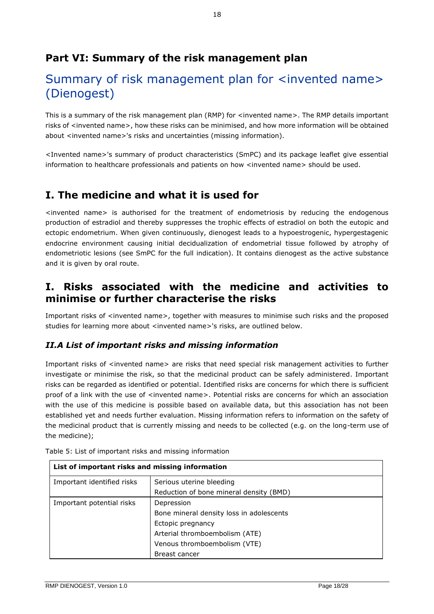## **Part VI: Summary of the risk management plan**

# Summary of risk management plan for <invented name> (Dienogest)

This is a summary of the risk management plan (RMP) for <invented name>. The RMP details important risks of <invented name>, how these risks can be minimised, and how more information will be obtained about <invented name>'s risks and uncertainties (missing information).

<Invented name>'s summary of product characteristics (SmPC) and its package leaflet give essential information to healthcare professionals and patients on how <invented name> should be used.

### **I. The medicine and what it is used for**

<invented name> is authorised for the treatment of endometriosis by reducing the endogenous production of estradiol and thereby suppresses the trophic effects of estradiol on both the eutopic and ectopic endometrium. When given continuously, dienogest leads to a hypoestrogenic, hypergestagenic endocrine environment causing initial decidualization of endometrial tissue followed by atrophy of endometriotic lesions (see SmPC for the full indication). It contains dienogest as the active substance and it is given by oral route.

### **I. Risks associated with the medicine and activities to minimise or further characterise the risks**

Important risks of <invented name>, together with measures to minimise such risks and the proposed studies for learning more about <invented name>'s risks, are outlined below.

#### *II.A List of important risks and missing information*

Important risks of <invented name> are risks that need special risk management activities to further investigate or minimise the risk, so that the medicinal product can be safely administered. Important risks can be regarded as identified or potential. Identified risks are concerns for which there is sufficient proof of a link with the use of <invented name>. Potential risks are concerns for which an association with the use of this medicine is possible based on available data, but this association has not been established yet and needs further evaluation. Missing information refers to information on the safety of the medicinal product that is currently missing and needs to be collected (e.g. on the long-term use of the medicine);

| List of important risks and missing information |                                          |
|-------------------------------------------------|------------------------------------------|
| Important identified risks                      | Serious uterine bleeding                 |
|                                                 | Reduction of bone mineral density (BMD)  |
| Important potential risks                       | Depression                               |
|                                                 | Bone mineral density loss in adolescents |
|                                                 | Ectopic pregnancy                        |
|                                                 | Arterial thromboembolism (ATE)           |
|                                                 | Venous thromboembolism (VTE)             |
|                                                 | Breast cancer                            |

Table 5: List of important risks and missing information